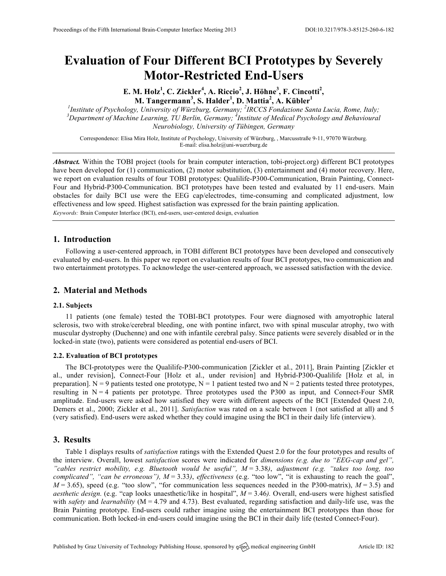# **Evaluation of Four Different BCI Prototypes by Severely Motor-Restricted End-Users**

**E. M. Holz<sup>1</sup> , C. Zickler<sup>4</sup> , A. Riccio<sup>2</sup> , J. Höhne<sup>3</sup> , F. Cincotti<sup>2</sup> , M. Tangermann<sup>3</sup> , S. Halder<sup>1</sup> , D. Mattia<sup>2</sup> , A. Kübler<sup>1</sup>**

*1 Institute of Psychology, University of Würzburg, Germany; <sup>2</sup> IRCCS Fondazione Santa Lucia, Rome, Italy; <sup>3</sup> Department of Machine Learning, TU Berlin, Germany; <sup>4</sup> Institute of Medical Psychology and Behavioural Neurobiology, University of Tübingen, Germany*

Correspondence: Elisa Mira Holz, Institute of Psychology, University of Würzburg, , Marcusstraße 9-11, 97070 Würzburg. E-mail: elisa.holz@uni-wuerzburg.de

*Abstract.* Within the TOBI project (tools for brain computer interaction, tobi-project.org) different BCI prototypes have been developed for (1) communication, (2) motor substitution, (3) entertainment and (4) motor recovery. Here, we report on evaluation results of four TOBI prototypes: Qualilife-P300-Communication, Brain Painting, Connect-Four and Hybrid-P300-Communication. BCI prototypes have been tested and evaluated by 11 end-users. Main obstacles for daily BCI use were the EEG cap/electrodes, time-consuming and complicated adjustment, low effectiveness and low speed. Highest satisfaction was expressed for the brain painting application. *Keywords:* Brain Computer Interface (BCI), end-users, user-centered design, evaluation

**1. Introduction**

Following a user-centered approach, in TOBI different BCI prototypes have been developed and consecutively evaluated by end-users. In this paper we report on evaluation results of four BCI prototypes, two communication and two entertainment prototypes. To acknowledge the user-centered approach, we assessed satisfaction with the device.

## **2. Material and Methods**

#### **2.1. Subjects**

11 patients (one female) tested the TOBI-BCI prototypes. Four were diagnosed with amyotrophic lateral sclerosis, two with stroke/cerebral bleeding, one with pontine infarct, two with spinal muscular atrophy, two with muscular dystrophy (Duchenne) and one with infantile cerebral palsy. Since patients were severely disabled or in the locked-in state (two), patients were considered as potential end-users of BCI.

### **2.2. Evaluation of BCI prototypes**

The BCI-prototypes were the Qualilife-P300-communication [Zickler et al., 2011], Brain Painting [Zickler et al., under revision], Connect-Four [Holz et al., under revision] and Hybrid-P300-Qualilife [Holz et al, in preparation]. N = 9 patients tested one prototype, N = 1 patient tested two and N = 2 patients tested three prototypes, resulting in  $N = 4$  patients per prototype. Three prototypes used the P300 as input, and Connect-Four SMR amplitude. End-users were asked how satisfied they were with different aspects of the BCI [Extended Quest 2.0, Demers et al., 2000; Zickler et al., 2011]. *Satisfaction* was rated on a scale between 1 (not satisfied at all) and 5 (very satisfied). End-users were asked whether they could imagine using the BCI in their daily life (interview).

#### **3. Results**

Table 1 displays results of *satisfaction* ratings with the Extended Quest 2.0 for the four prototypes and results of the interview. Overall, lowest *satisfaction* scores were indicated for *dimensions (e.g. due to "EEG-cap and gel", "cables restrict mobility, e.g. Bluetooth would be useful", M* = 3.38*)*, *adjustment (e.g. "takes too long, too complicated", "can be erroneous"), M* = 3.33*)*, *effectiveness* (e.g. "too low", "it is exhausting to reach the goal",  $M = 3.65$ , speed (e.g. "too slow", "for communication less sequences needed in the P300-matrix),  $M = 3.5$ ) and *aesthetic design.* (e.g. "cap looks unaesthetic/like in hospital", *M* = 3.46*).* Overall, end-users were highest satisfied with *safety* and *learnability* (M = 4.79 and 4.73). Best evaluated, regarding satisfaction and daily-life use, was the Brain Painting prototype. End-users could rather imagine using the entertainment BCI prototypes than those for communication. Both locked-in end-users could imagine using the BCI in their daily life (tested Connect-Four).